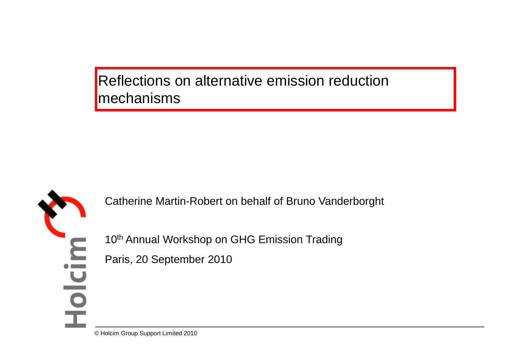Reflections on alternative emission reduction mechanisms



Catherine Martin-Robert on behalf of Bruno Vanderborght

10<sup>th</sup> Annual Workshop on GHG Emission Trading

Paris, 20 September 2010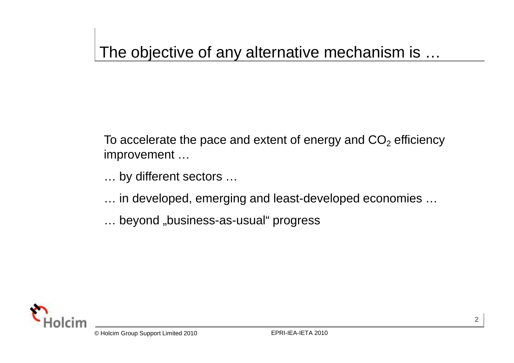## The objective of any alternative mechanism is …

To accelerate the pace and extent of energy and  $\mathsf{CO}_2$  efficiency improvement …

… by different sectors …

- … in developed, emerging and least-developed economies …
- ... beyond "business-as-usual" progress

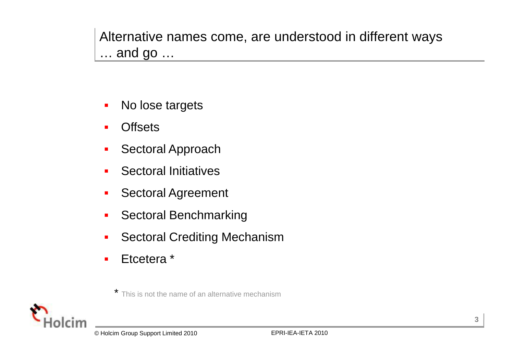Alternative names come, are understood in different ways … and go …

- $\blacksquare$ No lose targets
- П **Offsets**
- $\mathcal{L}_{\mathcal{A}}$ Sectoral Approach
- $\blacksquare$ Sectoral Initiatives
- $\mathcal{L}_{\mathcal{A}}$ Sectoral Agreement
- $\mathcal{L}_{\mathcal{A}}$ Sectoral Benchmarking
- $\blacksquare$ Sectoral Crediting Mechanism
- П Etcetera \*

\* This is not the name of an alternative mechanism

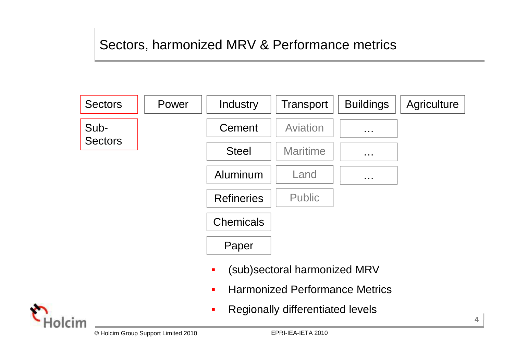## Sectors, harmonized MRV & Performance metrics



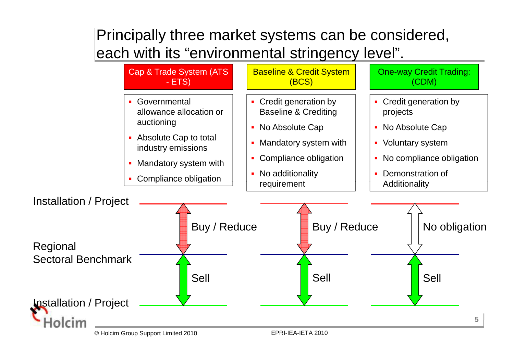## Principally three market systems can be considered, each with its "environmental stringency level".

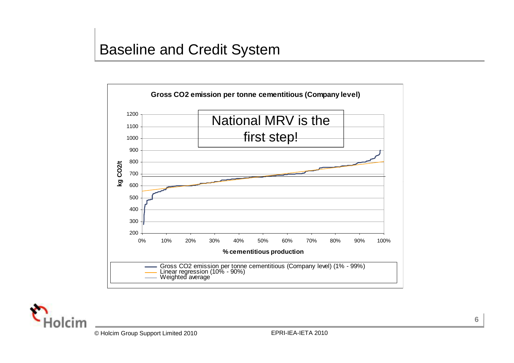



**6**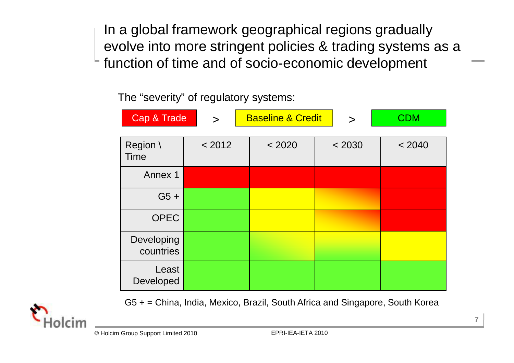In a global framework geographical regions gradually evolve into more stringent policies & trading systems as a function of time and of socio-economic development

The "severity" of regulatory systems:

| Cap & Trade             | $\geq$ | <b>Baseline &amp; Credit</b> | $\geq$ | <b>CDM</b> |
|-------------------------|--------|------------------------------|--------|------------|
|                         |        |                              |        |            |
| Region \<br><b>Time</b> | < 2012 | < 2020                       | < 2030 | < 2040     |
| Annex 1                 |        |                              |        |            |
| $G5 +$                  |        |                              |        |            |
| <b>OPEC</b>             |        |                              |        |            |
| Developing<br>countries |        |                              |        |            |
| Least<br>Developed      |        |                              |        |            |

G5 + = China, India, Mexico, Brazil, South Africa and Singapore, South Korea

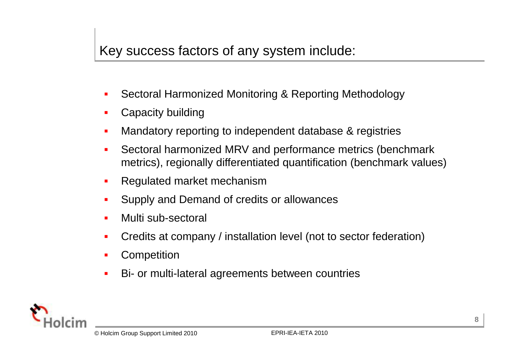- Sectoral Harmonized Monitoring & Reporting Methodology
- Г Capacity building
- $\blacksquare$ Mandatory reporting to independent database & registries
- $\blacksquare$  Sectoral harmonized MRV and performance metrics (benchmark metrics), regionally differentiated quantification (benchmark values)
- н Regulated market mechanism
- Supply and Demand of credits or allowances
- Multi sub-sectoral
- $\mathbf{r}$ Credits at company / installation level (not to sector federation)
- $\blacksquare$ **Competition**
- $\blacksquare$ Bi- or multi-lateral agreements between countries

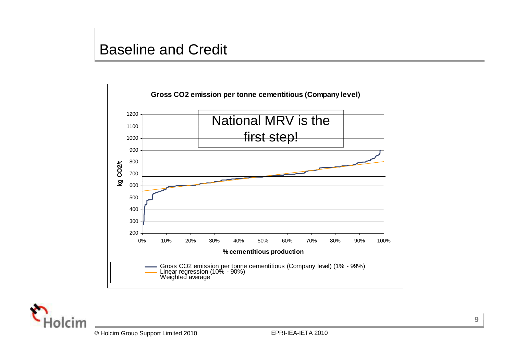

 $\mathsf{r}$ 

**9**